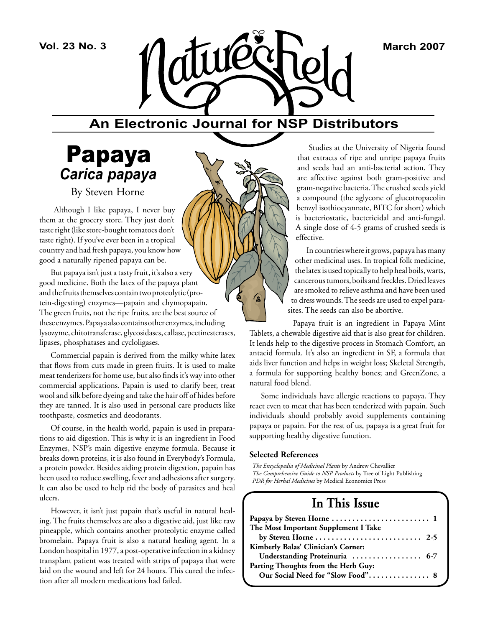

# **An Electronic Journal for NSP Distributors**

′ß

# Papaya *Carica papaya*

By Steven Horne

 Although I like papaya, I never buy them at the grocery store. They just don't taste right (like store-bought tomatoes don't taste right). If you've ever been in a tropical country and had fresh papaya, you know how good a naturally ripened papaya can be.

But papaya isn't just a tasty fruit, it's also a very good medicine. Both the latex of the papaya plant and the fruits themselves contain two proteolytic (protein-digesting) enzymes—papain and chymopapain. The green fruits, not the ripe fruits, are the best source of these enzymes. Papaya also contains other enzymes, including lysozyme, chitotransferase, glycosidases, callase, pectinesterases, lipases, phosphatases and cycloligases.

Commercial papain is derived from the milky white latex that flows from cuts made in green fruits. It is used to make meat tenderizers for home use, but also finds it's way into other commercial applications. Papain is used to clarify beer, treat wool and silk before dyeing and take the hair off of hides before they are tanned. It is also used in personal care products like toothpaste, cosmetics and deodorants.

Of course, in the health world, papain is used in preparations to aid digestion. This is why it is an ingredient in Food Enzymes, NSP's main digestive enzyme formula. Because it breaks down proteins, it is also found in Everybody's Formula, a protein powder. Besides aiding protein digestion, papain has been used to reduce swelling, fever and adhesions after surgery. It can also be used to help rid the body of parasites and heal ulcers.

However, it isn't just papain that's useful in natural healing. The fruits themselves are also a digestive aid, just like raw pineapple, which contains another proteolytic enzyme called bromelain. Papaya fruit is also a natural healing agent. In a London hospital in 1977, a post-operative infection in a kidney transplant patient was treated with strips of papaya that were laid on the wound and left for 24 hours. This cured the infection after all modern medications had failed.

Studies at the University of Nigeria found that extracts of ripe and unripe papaya fruits and seeds had an anti-bacterial action. They are affective against both gram-positive and gram-negative bacteria. The crushed seeds yield a compound (the aglycone of glucotropaeolin benzyl isothiocyannate, BITC for short) which is bacteriostatic, bactericidal and anti-fungal. A single dose of 4-5 grams of crushed seeds is effective.

In countries where it grows, papaya has many other medicinal uses. In tropical folk medicine, the latex is used topically to help heal boils, warts, cancerous tumors, boils and freckles. Dried leaves are smoked to relieve asthma and have been used to dress wounds. The seeds are used to expel parasites. The seeds can also be abortive.

Papaya fruit is an ingredient in Papaya Mint Tablets, a chewable digestive aid that is also great for children. It lends help to the digestive process in Stomach Comfort, an antacid formula. It's also an ingredient in SF, a formula that aids liver function and helps in weight loss; Skeletal Strength, a formula for supporting healthy bones; and GreenZone, a natural food blend.

Some individuals have allergic reactions to papaya. They react even to meat that has been tenderized with papain. Such individuals should probably avoid supplements containing papaya or papain. For the rest of us, papaya is a great fruit for supporting healthy digestive function.

### **Selected References**

*The Encyclopedia of Medicinal Plants* by Andrew Chevallier *The Comprehensive Guide to NSP Products* by Tree of Light Publishing *PDR for Herbal Medicines* by Medical Economics Press

# **In This Issue**

| The Most Important Supplement I Take                                          |
|-------------------------------------------------------------------------------|
| by Steven Horne $\ldots \ldots \ldots \ldots \ldots \ldots \ldots \ldots$ 2-5 |
| Kimberly Balas' Clinician's Corner:                                           |
| Understanding Proteinuria  6-7                                                |
| Parting Thoughts from the Herb Guy:                                           |
| Our Social Need for "Slow Food" 8                                             |
|                                                                               |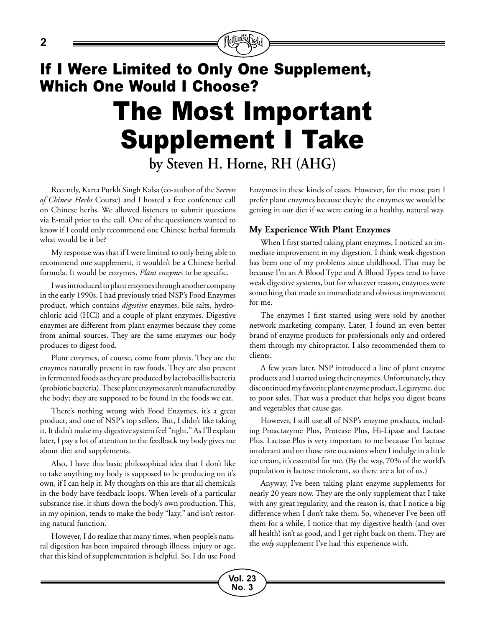# If I Were Limited to Only One Supplement, Which One Would I Choose? The Most Important Supplement I Take **by Steven H. Horne, RH (AHG)**

Recently, Karta Purkh Singh Kalsa (co-author of the S*ecrets of Chinese Herbs* Course) and I hosted a free conference call on Chinese herbs. We allowed listeners to submit questions via E-mail prior to the call. One of the questioners wanted to know if I could only recommend one Chinese herbal formula what would be it be?

My response was that if I were limited to only being able to recommend one supplement, it wouldn't be a Chinese herbal formula. It would be enzymes. *Plant enzymes* to be specific.

I was introduced to plant enzymes through another company in the early 1990s. I had previously tried NSP's Food Enzymes product, which contains *digestive* enzymes, bile salts, hydrochloric acid (HCl) and a couple of plant enzymes. Digestive enzymes are different from plant enzymes because they come from animal sources. They are the same enzymes our body produces to digest food.

Plant enzymes, of course, come from plants. They are the enzymes naturally present in raw foods. They are also present in fermented foods as they are produced by lactobacillis bacteria (probiotic bacteria). These plant enzymes aren't manufactured by the body; they are supposed to be found in the foods we eat.

There's nothing wrong with Food Enzymes, it's a great product, and one of NSP's top sellers. But, I didn't like taking it. It didn't make my digestive system feel "right." As I'll explain later, I pay a lot of attention to the feedback my body gives me about diet and supplements.

Also, I have this basic philosophical idea that I don't like to take anything my body is supposed to be producing on it's own, if I can help it. My thoughts on this are that all chemicals in the body have feedback loops. When levels of a particular substance rise, it shuts down the body's own production. This, in my opinion, tends to make the body "lazy," and isn't restoring natural function.

However, I do realize that many times, when people's natural digestion has been impaired through illness, injury or age, that this kind of supplementation is helpful. So, I do use Food Enzymes in these kinds of cases. However, for the most part I prefer plant enzymes because they're the enzymes we would be getting in our diet if we were eating in a healthy, natural way.

# **My Experience With Plant Enzymes**

When I first started taking plant enzymes, I noticed an immediate improvement in my digestion. I think weak digestion has been one of my problems since childhood. That may be because I'm an A Blood Type and A Blood Types tend to have weak digestive systems, but for whatever reason, enzymes were something that made an immediate and obvious improvement for me.

The enzymes I first started using were sold by another network marketing company. Later, I found an even better brand of enzyme products for professionals only and ordered them through my chiropractor. I also recommended them to clients.

A few years later, NSP introduced a line of plant enzyme products and I started using their enzymes. Unfortunately, they discontinued my favorite plant enzyme product, Leguzyme, due to poor sales. That was a product that helps you digest beans and vegetables that cause gas.

However, I still use all of NSP's enzyme products, including Proactazyme Plus, Protease Plus, Hi-Lipase and Lactase Plus. Lactase Plus is very important to me because I'm lactose intolerant and on those rare occasions when I indulge in a little ice cream, it's essential for me. (By the way, 70% of the world's population is lactose intolerant, so there are a lot of us.)

Anyway, I've been taking plant enzyme supplements for nearly 20 years now. They are the only supplement that I take with any great regularity, and the reason is, that I notice a big difference when I don't take them. So, whenever I've been off them for a while, I notice that my digestive health (and over all health) isn't as good, and I get right back on them. They are the *only* supplement I've had this experience with.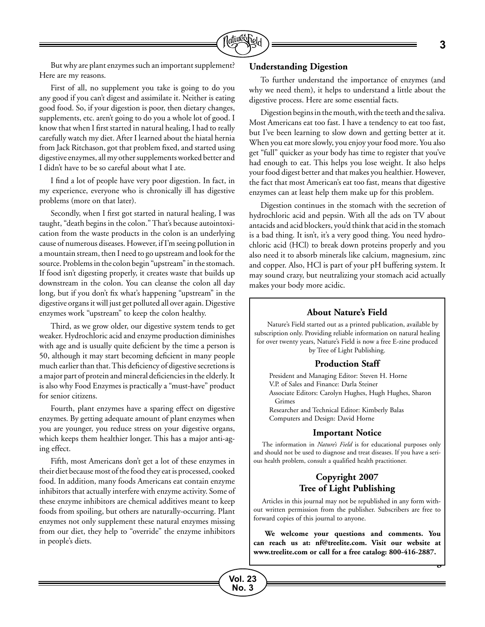

But why are plant enzymes such an important supplement? Here are my reasons.

First of all, no supplement you take is going to do you any good if you can't digest and assimilate it. Neither is eating good food. So, if your digestion is poor, then dietary changes, supplements, etc. aren't going to do you a whole lot of good. I know that when I first started in natural healing, I had to really carefully watch my diet. After I learned about the hiatal hernia from Jack Ritchason, got that problem fixed, and started using digestive enzymes, all my other supplements worked better and I didn't have to be so careful about what I ate.

I find a lot of people have very poor digestion. In fact, in my experience, everyone who is chronically ill has digestive problems (more on that later).

Secondly, when I first got started in natural healing, I was taught, "death begins in the colon." That's because autointoxication from the waste products in the colon is an underlying cause of numerous diseases. However, if I'm seeing pollution in a mountain stream, then I need to go upstream and look for the source. Problems in the colon begin "upstream" in the stomach. If food isn't digesting properly, it creates waste that builds up downstream in the colon. You can cleanse the colon all day long, but if you don't fix what's happening "upstream" in the digestive organs it will just get polluted all over again. Digestive enzymes work "upstream" to keep the colon healthy.

Third, as we grow older, our digestive system tends to get weaker. Hydrochloric acid and enzyme production diminishes with age and is usually quite deficient by the time a person is 50, although it may start becoming deficient in many people much earlier than that. This deficiency of digestive secretions is a major part of protein and mineral deficiencies in the elderly. It is also why Food Enzymes is practically a "must-have" product for senior citizens.

Fourth, plant enzymes have a sparing effect on digestive enzymes. By getting adequate amount of plant enzymes when you are younger, you reduce stress on your digestive organs, which keeps them healthier longer. This has a major anti-aging effect.

Fifth, most Americans don't get a lot of these enzymes in their diet because most of the food they eat is processed, cooked food. In addition, many foods Americans eat contain enzyme inhibitors that actually interfere with enzyme activity. Some of these enzyme inhibitors are chemical additives meant to keep foods from spoiling, but others are naturally-occurring. Plant enzymes not only supplement these natural enzymes missing from our diet, they help to "override" the enzyme inhibitors in people's diets.

#### **Understanding Digestion**

To further understand the importance of enzymes (and why we need them), it helps to understand a little about the digestive process. Here are some essential facts.

Digestion begins in the mouth, with the teeth and the saliva. Most Americans eat too fast. I have a tendency to eat too fast, but I've been learning to slow down and getting better at it. When you eat more slowly, you enjoy your food more. You also get "full" quicker as your body has time to register that you've had enough to eat. This helps you lose weight. It also helps your food digest better and that makes you healthier. However, the fact that most American's eat too fast, means that digestive enzymes can at least help them make up for this problem.

Digestion continues in the stomach with the secretion of hydrochloric acid and pepsin. With all the ads on TV about antacids and acid blockers, you'd think that acid in the stomach is a bad thing. It isn't, it's a very good thing. You need hydrochloric acid (HCl) to break down proteins properly and you also need it to absorb minerals like calcium, magnesium, zinc and copper. Also, HCl is part of your pH buffering system. It may sound crazy, but neutralizing your stomach acid actually makes your body more acidic.

#### **About Nature's Field**

Nature's Field started out as a printed publication, available by subscription only. Providing reliable information on natural healing for over twenty years, Nature's Field is now a free E-zine produced by Tree of Light Publishing.

#### **Production Staff**

President and Managing Editor: Steven H. Horne V.P. of Sales and Finance: Darla Steiner Associate Editors: Carolyn Hughes, Hugh Hughes, Sharon Grimes Researcher and Technical Editor: Kimberly Balas Computers and Design: David Horne

#### **Important Notice**

The information in *Nature's Field* is for educational purposes only and should not be used to diagnose and treat diseases. If you have a serious health problem, consult a qualified health practitioner.

# **Copyright 2007 Tree of Light Publishing**

Articles in this journal may not be republished in any form without written permission from the publisher. Subscribers are free to forward copies of this journal to anyone.

**We welcome your questions and comments. You can reach us at: nf@treelite.com. Visit our website at www.treelite.com or call for a free catalog: 800-416-2887.**

**Continued on Next Page**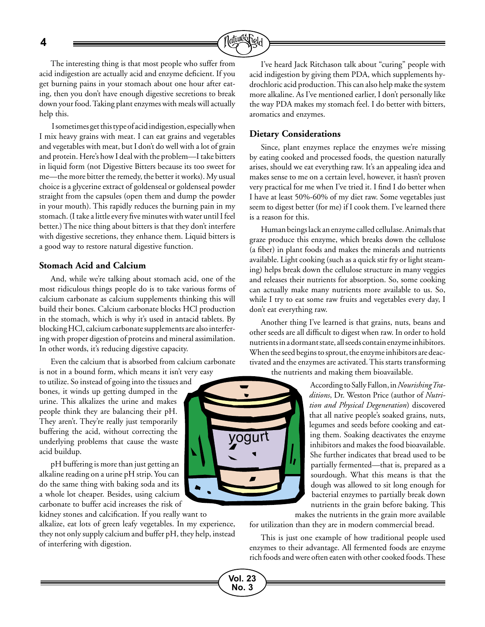**4**



The interesting thing is that most people who suffer from acid indigestion are actually acid and enzyme deficient. If you get burning pains in your stomach about one hour after eating, then you don't have enough digestive secretions to break down your food. Taking plant enzymes with meals will actually help this.

 I sometimes get this type of acid indigestion, especially when I mix heavy grains with meat. I can eat grains and vegetables and vegetables with meat, but I don't do well with a lot of grain and protein. Here's how I deal with the problem—I take bitters in liquid form (not Digestive Bitters because its too sweet for me—the more bitter the remedy, the better it works). My usual choice is a glycerine extract of goldenseal or goldenseal powder straight from the capsules (open them and dump the powder in your mouth). This rapidly reduces the burning pain in my stomach. (I take a little every five minutes with water until I feel better.) The nice thing about bitters is that they don't interfere with digestive secretions, they enhance them. Liquid bitters is a good way to restore natural digestive function.

# **Stomach Acid and Calcium**

And, while we're talking about stomach acid, one of the most ridiculous things people do is to take various forms of calcium carbonate as calcium supplements thinking this will build their bones. Calcium carbonate blocks HCl production in the stomach, which is why it's used in antacid tablets. By blocking HCl, calcium carbonate supplements are also interfering with proper digestion of proteins and mineral assimilation. In other words, it's reducing digestive capacity.

Even the calcium that is absorbed from calcium carbonate is not in a bound form, which means it isn't very easy

to utilize. So instead of going into the tissues and bones, it winds up getting dumped in the urine. This alkalizes the urine and makes people think they are balancing their pH. They aren't. They're really just temporarily buffering the acid, without correcting the underlying problems that cause the waste acid buildup.

pH buffering is more than just getting an alkaline reading on a urine pH strip. You can do the same thing with baking soda and its a whole lot cheaper. Besides, using calcium carbonate to buffer acid increases the risk of

kidney stones and calcification. If you really want to

alkalize, eat lots of green leafy vegetables. In my experience, they not only supply calcium and buffer pH, they help, instead of interfering with digestion.

I've heard Jack Ritchason talk about "curing" people with acid indigestion by giving them PDA, which supplements hydrochloric acid production. This can also help make the system more alkaline. As I've mentioned earlier, I don't personally like the way PDA makes my stomach feel. I do better with bitters, aromatics and enzymes.

### **Dietary Considerations**

Since, plant enzymes replace the enzymes we're missing by eating cooked and processed foods, the question naturally arises, should we eat everything raw. It's an appealing idea and makes sense to me on a certain level, however, it hasn't proven very practical for me when I've tried it. I find I do better when I have at least 50%-60% of my diet raw. Some vegetables just seem to digest better (for me) if I cook them. I've learned there is a reason for this.

Human beings lack an enzyme called cellulase. Animals that graze produce this enzyme, which breaks down the cellulose (a fiber) in plant foods and makes the minerals and nutrients available. Light cooking (such as a quick stir fry or light steaming) helps break down the cellulose structure in many veggies and releases their nutrients for absorption. So, some cooking can actually make many nutrients more available to us. So, while I try to eat some raw fruits and vegetables every day, I don't eat everything raw.

Another thing I've learned is that grains, nuts, beans and other seeds are all difficult to digest when raw. In order to hold nutrients in a dormant state, all seeds contain enzyme inhibitors. When the seed begins to sprout, the enzyme inhibitors are deactivated and the enzymes are activated. This starts transforming the nutrients and making them bioavailable.

> According to Sally Fallon, in *Nourishing Traditions*, Dr. Weston Price (author of *Nutrition and Physical Degeneration*) discovered that all native people's soaked grains, nuts, legumes and seeds before cooking and eating them. Soaking deactivates the enzyme inhibitors and makes the food bioavailable. She further indicates that bread used to be partially fermented—that is, prepared as a sourdough. What this means is that the dough was allowed to sit long enough for bacterial enzymes to partially break down nutrients in the grain before baking. This makes the nutrients in the grain more available

for utilization than they are in modern commercial bread.

This is just one example of how traditional people used enzymes to their advantage. All fermented foods are enzyme rich foods and were often eaten with other cooked foods. These



**Vol. 23 No. 3**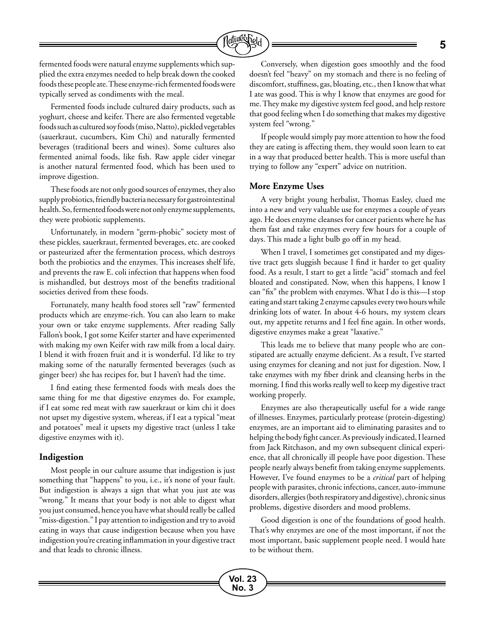

fermented foods were natural enzyme supplements which supplied the extra enzymes needed to help break down the cooked foods these people ate. These enzyme-rich fermented foods were typically served as condiments with the meal.

Fermented foods include cultured dairy products, such as yoghurt, cheese and keifer. There are also fermented vegetable foods such as cultured soy foods (miso, Natto), pickled vegetables (sauerkraut, cucumbers, Kim Chi) and naturally fermented beverages (traditional beers and wines). Some cultures also fermented animal foods, like fish. Raw apple cider vinegar is another natural fermented food, which has been used to improve digestion.

These foods are not only good sources of enzymes, they also supply probiotics, friendly bacteria necessary for gastrointestinal health. So, fermented foods were not only enzyme supplements, they were probiotic supplements.

Unfortunately, in modern "germ-phobic" society most of these pickles, sauerkraut, fermented beverages, etc. are cooked or pasteurized after the fermentation process, which destroys both the probiotics and the enzymes. This increases shelf life, and prevents the raw E. coli infection that happens when food is mishandled, but destroys most of the benefits traditional societies derived from these foods.

Fortunately, many health food stores sell "raw" fermented products which are enzyme-rich. You can also learn to make your own or take enzyme supplements. After reading Sally Fallon's book, I got some Keifer starter and have experimented with making my own Keifer with raw milk from a local dairy. I blend it with frozen fruit and it is wonderful. I'd like to try making some of the naturally fermented beverages (such as ginger beer) she has recipes for, but I haven't had the time.

I find eating these fermented foods with meals does the same thing for me that digestive enzymes do. For example, if I eat some red meat with raw sauerkraut or kim chi it does not upset my digestive system, whereas, if I eat a typical "meat and potatoes" meal it upsets my digestive tract (unless I take digestive enzymes with it).

### **Indigestion**

Most people in our culture assume that indigestion is just something that "happens" to you, i.e., it's none of your fault. But indigestion is always a sign that what you just ate was "wrong." It means that your body is not able to digest what you just consumed, hence you have what should really be called "miss-digestion." I pay attention to indigestion and try to avoid eating in ways that cause indigestion because when you have indigestion you're creating inflammation in your digestive tract and that leads to chronic illness.

Conversely, when digestion goes smoothly and the food doesn't feel "heavy" on my stomach and there is no feeling of discomfort, stuffiness, gas, bloating, etc., then I know that what I ate was good. This is why I know that enzymes are good for me. They make my digestive system feel good, and help restore that good feeling when I do something that makes my digestive system feel "wrong."

If people would simply pay more attention to how the food they are eating is affecting them, they would soon learn to eat in a way that produced better health. This is more useful than trying to follow any "expert" advice on nutrition.

#### **More Enzyme Uses**

A very bright young herbalist, Thomas Easley, clued me into a new and very valuable use for enzymes a couple of years ago. He does enzyme cleanses for cancer patients where he has them fast and take enzymes every few hours for a couple of days. This made a light bulb go off in my head.

When I travel, I sometimes get constipated and my digestive tract gets sluggish because I find it harder to get quality food. As a result, I start to get a little "acid" stomach and feel bloated and constipated. Now, when this happens, I know I can "fix" the problem with enzymes. What I do is this—I stop eating and start taking 2 enzyme capsules every two hours while drinking lots of water. In about 4-6 hours, my system clears out, my appetite returns and I feel fine again. In other words, digestive enzymes make a great "laxative."

This leads me to believe that many people who are constipated are actually enzyme deficient. As a result, I've started using enzymes for cleaning and not just for digestion. Now, I take enzymes with my fiber drink and cleansing herbs in the morning. I find this works really well to keep my digestive tract working properly.

Enzymes are also therapeutically useful for a wide range of illnesses. Enzymes, particularly protease (protein-digesting) enzymes, are an important aid to eliminating parasites and to helping the body fight cancer. As previously indicated, I learned from Jack Ritchason, and my own subsequent clinical experience, that all chronically ill people have poor digestion. These people nearly always benefit from taking enzyme supplements. However, I've found enzymes to be a *critical* part of helping people with parasites, chronic infections, cancer, auto-immune disorders, allergies (both respiratory and digestive), chronic sinus problems, digestive disorders and mood problems.

Good digestion is one of the foundations of good health. That's why enzymes are one of the most important, if not the most important, basic supplement people need. I would hate to be without them.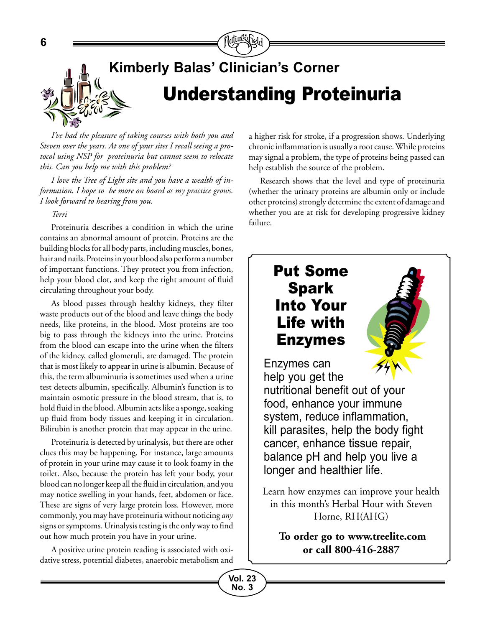

*I've had the pleasure of taking courses with both you and Steven over the years. At one of your sites I recall seeing a protocol using NSP for proteinuria but cannot seem to relocate this. Can you help me with this problem?*

*I love the Tree of Light site and you have a wealth of information. I hope to be more on board as my practice grows. I look forward to hearing from you.*

### *Terri*

Proteinuria describes a condition in which the urine contains an abnormal amount of protein. Proteins are the building blocks for all body parts, including muscles, bones, hair and nails. Proteins in your blood also perform a number of important functions. They protect you from infection, help your blood clot, and keep the right amount of fluid circulating throughout your body.

As blood passes through healthy kidneys, they filter waste products out of the blood and leave things the body needs, like proteins, in the blood. Most proteins are too big to pass through the kidneys into the urine. Proteins from the blood can escape into the urine when the filters of the kidney, called glomeruli, are damaged. The protein that is most likely to appear in urine is albumin. Because of this, the term albuminuria is sometimes used when a urine test detects albumin, specifically. Albumin's function is to maintain osmotic pressure in the blood stream, that is, to hold fluid in the blood. Albumin acts like a sponge, soaking up fluid from body tissues and keeping it in circulation. Bilirubin is another protein that may appear in the urine.

Proteinuria is detected by urinalysis, but there are other clues this may be happening. For instance, large amounts of protein in your urine may cause it to look foamy in the toilet. Also, because the protein has left your body, your blood can no longer keep all the fluid in circulation, and you may notice swelling in your hands, feet, abdomen or face. These are signs of very large protein loss. However, more commonly, you may have proteinuria without noticing *any* signs or symptoms. Urinalysis testing is the only way to find out how much protein you have in your urine.

A positive urine protein reading is associated with oxidative stress, potential diabetes, anaerobic metabolism and a higher risk for stroke, if a progression shows. Underlying chronic inflammation is usually a root cause. While proteins may signal a problem, the type of proteins being passed can help establish the source of the problem.

Research shows that the level and type of proteinuria (whether the urinary proteins are albumin only or include other proteins) strongly determine the extent of damage and whether you are at risk for developing progressive kidney failure.

# Put Some Spark Into Your Life with Enzymes

Enzymes can help you get the nutritional benefit out of your food, enhance your immune system, reduce inflammation, kill parasites, help the body fight cancer, enhance tissue repair, balance pH and help you live a longer and healthier life.

Learn how enzymes can improve your health in this month's Herbal Hour with Steven Horne, RH(AHG)

**To order go to www.treelite.com or call 800-416-2887**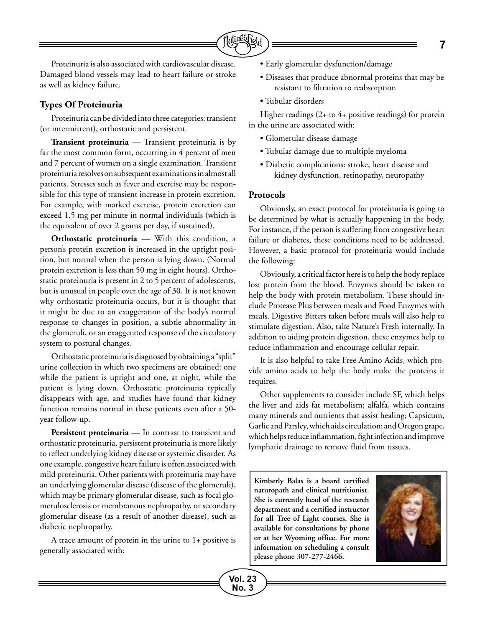

Proteinuria is also associated with cardiovascular disease. Damaged blood vessels may lead to heart failure or stroke as well as kidney failure.

# **Types Of Proteinuria**

Proteinuria can be divided into three categories: transient (or intermittent), orthostatic and persistent.

**Transient proteinuria** — Transient proteinuria is by far the most common form, occurring in 4 percent of men and 7 percent of women on a single examination. Transient proteinuria resolves on subsequent examinations in almost all patients. Stresses such as fever and exercise may be responsible for this type of transient increase in protein excretion. For example, with marked exercise, protein excretion can exceed 1.5 mg per minute in normal individuals (which is the equivalent of over 2 grams per day, if sustained).

**Orthostatic proteinuria** — With this condition, a person's protein excretion is increased in the upright position, but normal when the person is lying down. (Normal protein excretion is less than 50 mg in eight hours). Orthostatic proteinuria is present in 2 to 5 percent of adolescents, but is unusual in people over the age of 30. It is not known why orthostatic proteinuria occurs, but it is thought that it might be due to an exaggeration of the body's normal response to changes in position, a subtle abnormality in the glomeruli, or an exaggerated response of the circulatory system to postural changes.

Orthostatic proteinuria is diagnosed by obtaining a "split" urine collection in which two specimens are obtained: one while the patient is upright and one, at night, while the patient is lying down. Orthostatic proteinuria typically disappears with age, and studies have found that kidney function remains normal in these patients even after a 50 year follow-up.

**Persistent proteinuria** — In contrast to transient and orthostatic proteinuria, persistent proteinuria is more likely to reflect underlying kidney disease or systemic disorder. As one example, congestive heart failure is often associated with mild proteinuria. Other patients with proteinuria may have an underlying glomerular disease (disease of the glomeruli), which may be primary glomerular disease, such as focal glomerulosclerosis or membranous nephropathy, or secondary glomerular disease (as a result of another disease), such as diabetic nephropathy.

A trace amount of protein in the urine to 1+ positive is generally associated with:

- Early glomerular dysfunction/damage
- Diseases that produce abnormal proteins that may be resistant to filtration to reabsorption
- Tubular disorders

Higher readings (2+ to 4+ positive readings) for protein in the urine are associated with:

- Glomerular disease damage
- Tubular damage due to multiple myeloma
- Diabetic complications: stroke, heart disease and kidney dysfunction, retinopathy, neuropathy

### **Protocols**

Obviously, an exact protocol for proteinuria is going to be determined by what is actually happening in the body. For instance, if the person is suffering from congestive heart failure or diabetes, these conditions need to be addressed. However, a basic protocol for proteinuria would include the following:

Obviously, a critical factor here is to help the body replace lost protein from the blood. Enzymes should be taken to help the body with protein metabolism. These should include Protease Plus between meals and Food Enzymes with meals. Digestive Bitters taken before meals will also help to stimulate digestion. Also, take Nature's Fresh internally. In addition to aiding protein digestion, these enzymes help to reduce inflammation and encourage cellular repair.

It is also helpful to take Free Amino Acids, which provide amino acids to help the body make the proteins it requires.

Other supplements to consider include SF, which helps the liver and aids fat metabolism; alfalfa, which contains many minerals and nutrients that assist healing; Capsicum, Garlic and Parsley, which aids circulation; and Oregon grape, which helps reduce inflammation, fight infection and improve lymphatic drainage to remove fluid from tissues.

**Kimberly Balas is a board certified naturopath and clinical nutritionist. She is currently head of the research department and a certified instructor for all Tree of Light courses. She is available for consultations by phone or at her Wyoming office. For more information on scheduling a consult please phone 307-277-2466.**

**Vol. 23 No. 3**